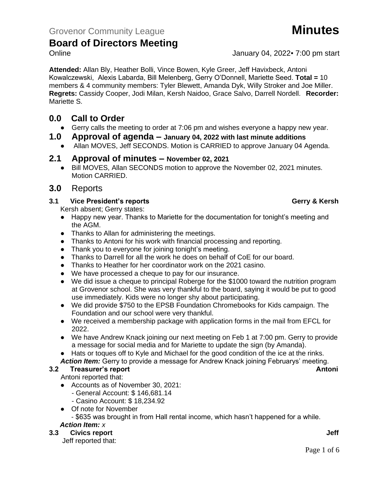**Attended:** Allan Bly, Heather Bolli, Vince Bowen, Kyle Greer, Jeff Havixbeck, Antoni Kowalczewski, Alexis Labarda, Bill Melenberg, Gerry O'Donnell, Mariette Seed. **Total =** 10 members & 4 community members: Tyler Blewett, Amanda Dyk, Willy Stroker and Joe Miller. **Regrets:** Cassidy Cooper, Jodi Milan, Kersh Naidoo, Grace Salvo, Darrell Nordell. **Recorder:**  Mariette S.

## **0.0 Call to Order**

● Gerry calls the meeting to order at 7:06 pm and wishes everyone a happy new year.

## **1.0 Approval of agenda – January 04, 2022 with last minute additions**

● Allan MOVES, Jeff SECONDS. Motion is CARRIED to approve January 04 Agenda.

### **2.1 Approval of minutes – November 02, 2021**

● Bill MOVES, Allan SECONDS motion to approve the November 02, 2021 minutes. Motion CARRIED.

## **3.0** Reports

#### **3.1 Vice President's reports Gerry & Kersh**

Kersh absent; Gerry states:

- Happy new year. Thanks to Mariette for the documentation for tonight's meeting and the AGM.
- Thanks to Allan for administering the meetings.
- Thanks to Antoni for his work with financial processing and reporting.
- Thank you to everyone for joining tonight's meeting.
- Thanks to Darrell for all the work he does on behalf of CoE for our board.
- Thanks to Heather for her coordinator work on the 2021 casino.
- We have processed a cheque to pay for our insurance.
- We did issue a cheque to principal Roberge for the \$1000 toward the nutrition program at Grovenor school. She was very thankful to the board, saying it would be put to good use immediately. Kids were no longer shy about participating.
- We did provide \$750 to the EPSB Foundation Chromebooks for Kids campaign. The Foundation and our school were very thankful.
- We received a membership package with application forms in the mail from EFCL for 2022.
- We have Andrew Knack joining our next meeting on Feb 1 at 7:00 pm. Gerry to provide a message for social media and for Mariette to update the sign (by Amanda).
- Hats or toques off to Kyle and Michael for the good condition of the ice at the rinks.
- *Action Item:* Gerry to provide a message for Andrew Knack joining Februarys' meeting.

### **3.2 Treasurer's report Antoni**

Antoni reported that:

- Accounts as of November 30, 2021:
	- General Account: \$ 146,681.14
	- Casino Account: \$ 18,234.92
- Of note for November

- \$635 was brought in from Hall rental income, which hasn't happened for a while.

#### *Action Item: x*

### **3.3 Civics report Jeff**

Jeff reported that:

Online January 04, 2022 7:00 pm start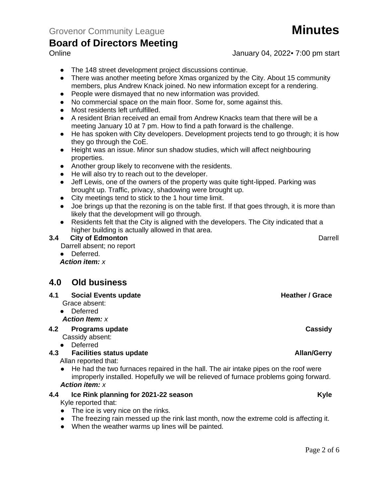- The 148 street development project discussions continue.
- There was another meeting before Xmas organized by the City. About 15 community members, plus Andrew Knack joined. No new information except for a rendering.
- People were dismayed that no new information was provided.
- No commercial space on the main floor. Some for, some against this.
- Most residents left unfulfilled.
- A resident Brian received an email from Andrew Knacks team that there will be a meeting January 10 at 7 pm. How to find a path forward is the challenge.
- He has spoken with City developers. Development projects tend to go through; it is how they go through the CoE.
- Height was an issue. Minor sun shadow studies, which will affect neighbouring properties.
- Another group likely to reconvene with the residents.
- He will also try to reach out to the developer.
- Jeff Lewis, one of the owners of the property was quite tight-lipped. Parking was brought up. Traffic, privacy, shadowing were brought up.
- City meetings tend to stick to the 1 hour time limit.
- Joe brings up that the rezoning is on the table first. If that goes through, it is more than likely that the development will go through.
- Residents felt that the City is aligned with the developers. The City indicated that a higher building is actually allowed in that area.

#### **3.4 City of Edmonton** Darrell

Darrell absent; no report

● Deferred.

*Action item: x*

## **4.0 Old business**

- **4.1 Social Events update <b>Heather / Grace Heather / Grace** 
	- Grace absent:
	- Deferred *Action Item: x*
- **4.2 Programs update Cassidy**

Cassidy absent:

● Deferred

#### **4.3 4.3 Facilities status update Allan/Gerry**

Allan reported that:

● He had the two furnaces repaired in the hall. The air intake pipes on the roof were improperly installed. Hopefully we will be relieved of furnace problems going forward. *Action item: x*

#### **4.4 Ice Rink planning for 2021-22 season Kyle**

Kyle reported that:

- The ice is very nice on the rinks.
- The freezing rain messed up the rink last month, now the extreme cold is affecting it.
- When the weather warms up lines will be painted.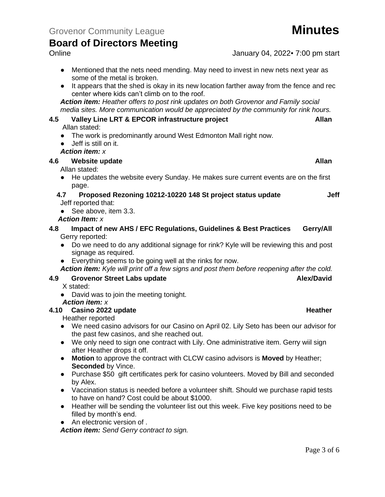Online January 04, 2022 7:00 pm start

- Mentioned that the nets need mending. May need to invest in new nets next year as some of the metal is broken.
- It appears that the shed is okay in its new location farther away from the fence and rec center where kids can't climb on to the roof.

*Action item: Heather offers to post rink updates on both Grovenor and Family social media sites. More communication would be appreciated by the community for rink hours.*

# **4.5 Valley Line LRT & EPCOR infrastructure project Allan**

Allan stated:

- The work is predominantly around West Edmonton Mall right now.
- Jeff is still on it.

*Action item: x*

#### **4.6 Website update Allan**

Allan stated:

● He updates the website every Sunday. He makes sure current events are on the first page.

#### **4.7 Proposed Rezoning 10212-10220 148 St project status update Jeff** Jeff reported that:

● See above, item 3.3.

#### *Action Item: x*

- **4.8 Impact of new AHS / EFC Regulations, Guidelines & Best Practices Gerry/All** Gerry reported:
	- Do we need to do any additional signage for rink? Kyle will be reviewing this and post signage as required.
	- Everything seems to be going well at the rinks for now.
	- *Action item: Kyle will print off a few signs and post them before reopening after the cold.*

#### **4.9 Grovenor Street Labs update Alex/David**

- X stated:
- David was to join the meeting tonight.

#### *Action item: x*

#### **4.10 Casino 2022 update Heather**

Heather reported

- We need casino advisors for our Casino on April 02. Lily Seto has been our advisor for the past few casinos, and she reached out.
- We only need to sign one contract with Lily. One administrative item. Gerry will sign after Heather drops it off.
- **Motion** to approve the contract with CLCW casino advisors is **Moved** by Heather; **Seconded** by Vince.
- Purchase \$50 gift certificates perk for casino volunteers. Moved by Bill and seconded by Alex.
- Vaccination status is needed before a volunteer shift. Should we purchase rapid tests to have on hand? Cost could be about \$1000.
- Heather will be sending the volunteer list out this week. Five key positions need to be filled by month's end.
- An electronic version of .

*Action item: Send Gerry contract to sign.*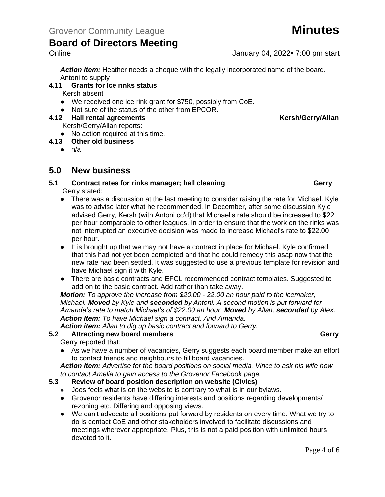*Action item:* Heather needs a cheque with the legally incorporated name of the board. Antoni to supply

#### **4.11 Grants for Ice rinks status**

Kersh absent

- We received one ice rink grant for \$750, possibly from CoE.
- Not sure of the status of the other from EPCOR**.**

#### **4.12 Hall rental agreements Kersh/Gerry/Allan**

Kersh/Gerry/Allan reports:

● No action required at this time.

#### **4.13 Other old business**

 $\bullet$  n/a

## **5.0 New business**

#### **5.1 Contract rates for rinks manager; hall cleaning <b>Gerry Gerry** Gerry stated:

- There was a discussion at the last meeting to consider raising the rate for Michael. Kyle was to advise later what he recommended. In December, after some discussion Kyle advised Gerry, Kersh (with Antoni cc'd) that Michael's rate should be increased to \$22 per hour comparable to other leagues. In order to ensure that the work on the rinks was not interrupted an executive decision was made to increase Michael's rate to \$22.00 per hour.
- It is brought up that we may not have a contract in place for Michael. Kyle confirmed that this had not yet been completed and that he could remedy this asap now that the new rate had been settled. It was suggested to use a previous template for revision and have Michael sign it with Kyle.
- There are basic contracts and EFCL recommended contract templates. Suggested to add on to the basic contract. Add rather than take away.

*Motion: To approve the increase from \$20.00 - 22.00 an hour paid to the icemaker, Michael. Moved by Kyle and seconded by Antoni. A second motion is put forward for Amanda's rate to match Michael's of \$22.00 an hour. Moved by Allan, seconded by Alex. Action Item: To have Michael sign a contract. And Amanda.*

*Action item: Allan to dig up basic contract and forward to Gerry.*

#### **5.2 Attracting new board members Gerry**

Gerry reported that:

● As we have a number of vacancies, Gerry suggests each board member make an effort to contact friends and neighbours to fill board vacancies.

*Action Item: Advertise for the board positions on social media. Vince to ask his wife how to contact Amelia to gain access to the Grovenor Facebook page.* 

#### **5.3 Review of board position description on website (Civics)**

- Joes feels what is on the website is contrary to what is in our bylaws.
- Grovenor residents have differing interests and positions regarding developments/ rezoning etc. Differing and opposing views.
- We can't advocate all positions put forward by residents on every time. What we try to do is contact CoE and other stakeholders involved to facilitate discussions and meetings wherever appropriate. Plus, this is not a paid position with unlimited hours devoted to it.

### Online January 04, 2022 7:00 pm start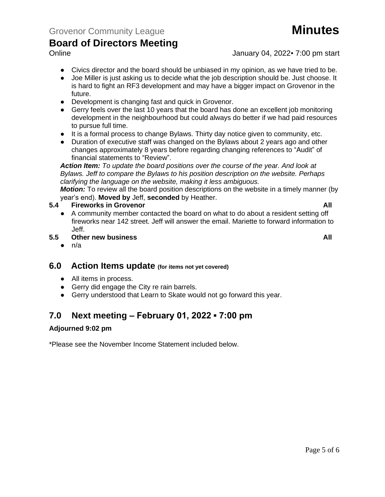Online January 04, 2022 7:00 pm start

- Civics director and the board should be unbiased in my opinion, as we have tried to be.
- Joe Miller is just asking us to decide what the job description should be. Just choose. It is hard to fight an RF3 development and may have a bigger impact on Grovenor in the future.
- Development is changing fast and quick in Grovenor.
- Gerry feels over the last 10 years that the board has done an excellent job monitoring development in the neighbourhood but could always do better if we had paid resources to pursue full time.
- It is a formal process to change Bylaws. Thirty day notice given to community, etc.
- Duration of executive staff was changed on the Bylaws about 2 years ago and other changes approximately 8 years before regarding changing references to "Audit" of financial statements to "Review".

*Action Item: To update the board positions over the course of the year. And look at Bylaws. Jeff to compare the Bylaws to his position description on the website. Perhaps clarifying the language on the website, making it less ambiguous.*

*Motion:* To review all the board position descriptions on the website in a timely manner (by year's end). **Moved by** Jeff, **seconded** by Heather.

#### **5.4 Fireworks in Grovenor All**

- A community member contacted the board on what to do about a resident setting off fireworks near 142 street. Jeff will answer the email. Mariette to forward information to Jeff.
- **5.5 Other new business All**
	- $\bullet$  n/a

### **6.0 Action Items update (for items not yet covered)**

- All items in process.
- Gerry did engage the City re rain barrels.
- Gerry understood that Learn to Skate would not go forward this year.

## **7.0 Next meeting – February 01, 2022 ▪ 7:00 pm**

#### **Adjourned 9:02 pm**

\*Please see the November Income Statement included below.